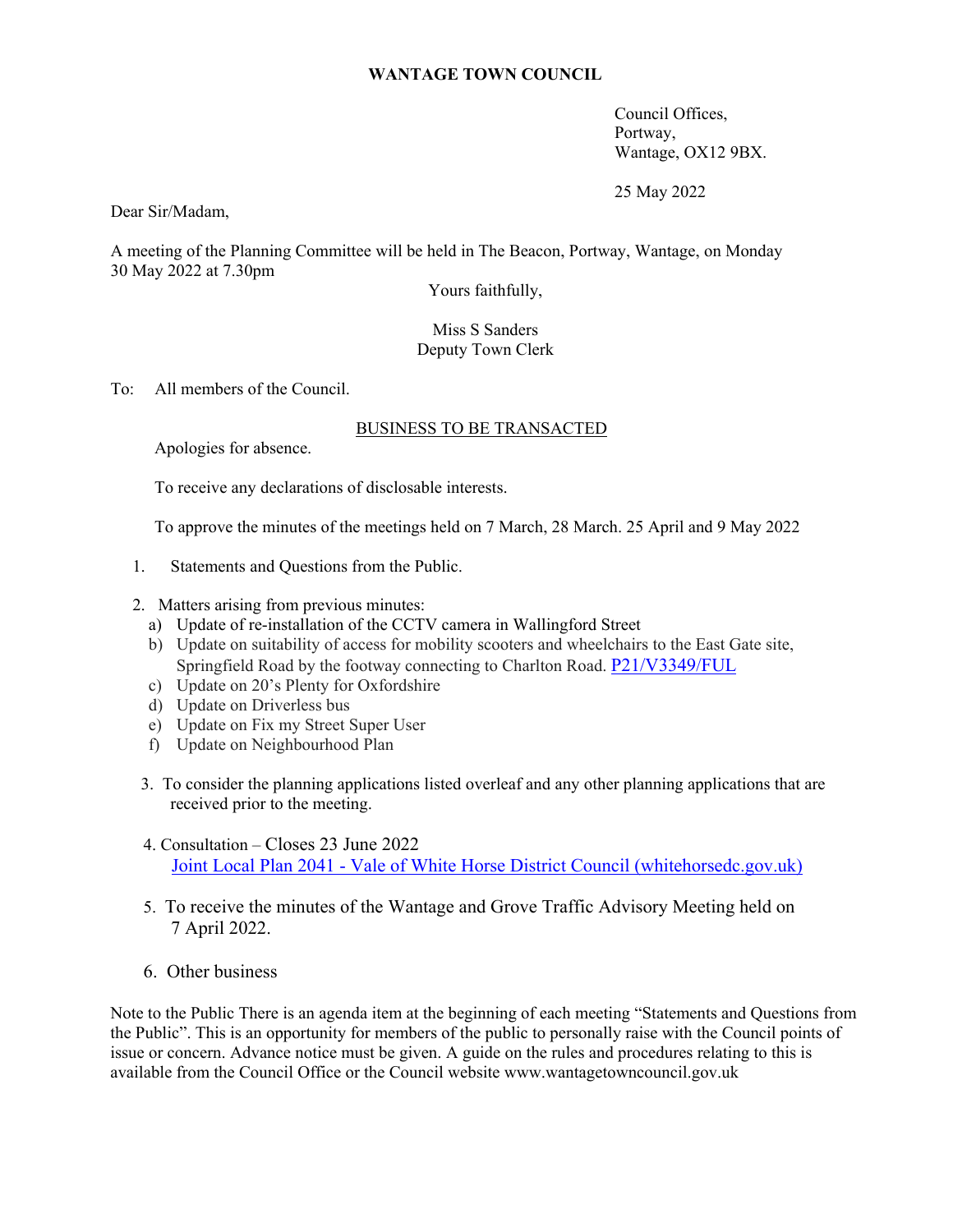## **WANTAGE TOWN COUNCIL**

Council Offices, Portway, Wantage, OX12 9BX.

25 May 2022

Dear Sir/Madam,

A meeting of the Planning Committee will be held in The Beacon, Portway, Wantage, on Monday 30 May 2022 at 7.30pm

Yours faithfully,

Miss S Sanders Deputy Town Clerk

To: All members of the Council.

## BUSINESS TO BE TRANSACTED

Apologies for absence.

To receive any declarations of disclosable interests.

To approve the minutes of the meetings held on 7 March, 28 March. 25 April and 9 May 2022

- 1. Statements and Questions from the Public.
- 2. Matters arising from previous minutes:
	- a) Update of re-installation of the CCTV camera in Wallingford Street
	- b) Update on suitability of access for mobility scooters and wheelchairs to the East Gate site, Springfield Road by the footway connecting to Charlton Road. P21/V3349/FUL
	- c) Update on 20's Plenty for Oxfordshire
	- d) Update on Driverless bus
	- e) Update on Fix my Street Super User
	- f) Update on Neighbourhood Plan
- 3. To consider the planning applications listed overleaf and any other planning applications that are received prior to the meeting.
- 4. Consultation Closes 23 June 2022 Joint Local Plan 2041 - Vale of White Horse District Council (whitehorsedc.gov.uk)
- 5. To receive the minutes of the Wantage and Grove Traffic Advisory Meeting held on 7 April 2022.
- 6. Other business

Note to the Public There is an agenda item at the beginning of each meeting "Statements and Questions from the Public". This is an opportunity for members of the public to personally raise with the Council points of issue or concern. Advance notice must be given. A guide on the rules and procedures relating to this is available from the Council Office or the Council website www.wantagetowncouncil.gov.uk